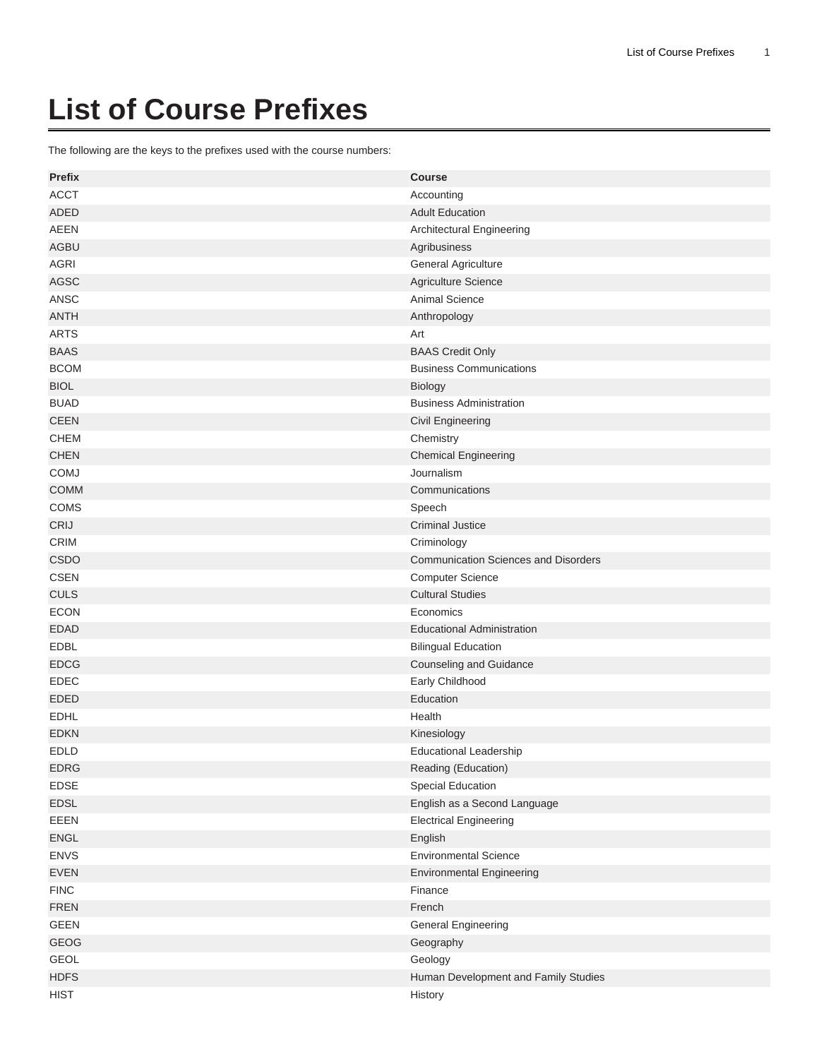## **List of Course Prefixes**

The following are the keys to the prefixes used with the course numbers:

| <b>Prefix</b> | <b>Course</b>                               |
|---------------|---------------------------------------------|
| <b>ACCT</b>   | Accounting                                  |
| <b>ADED</b>   | <b>Adult Education</b>                      |
| <b>AEEN</b>   | Architectural Engineering                   |
| <b>AGBU</b>   | Agribusiness                                |
| AGRI          | General Agriculture                         |
| <b>AGSC</b>   | Agriculture Science                         |
| ANSC          | Animal Science                              |
| <b>ANTH</b>   | Anthropology                                |
| <b>ARTS</b>   | Art                                         |
| <b>BAAS</b>   | <b>BAAS Credit Only</b>                     |
| <b>BCOM</b>   | <b>Business Communications</b>              |
| <b>BIOL</b>   | Biology                                     |
| <b>BUAD</b>   | <b>Business Administration</b>              |
| <b>CEEN</b>   | <b>Civil Engineering</b>                    |
| <b>CHEM</b>   | Chemistry                                   |
| <b>CHEN</b>   | <b>Chemical Engineering</b>                 |
| COMJ          | Journalism                                  |
| <b>COMM</b>   | Communications                              |
| COMS          | Speech                                      |
| CRIJ          | <b>Criminal Justice</b>                     |
| <b>CRIM</b>   | Criminology                                 |
| <b>CSDO</b>   | <b>Communication Sciences and Disorders</b> |
| <b>CSEN</b>   | <b>Computer Science</b>                     |
| <b>CULS</b>   | <b>Cultural Studies</b>                     |
| <b>ECON</b>   | Economics                                   |
| <b>EDAD</b>   | <b>Educational Administration</b>           |
| <b>EDBL</b>   | <b>Bilingual Education</b>                  |
| <b>EDCG</b>   | <b>Counseling and Guidance</b>              |
| <b>EDEC</b>   | Early Childhood                             |
| <b>EDED</b>   | Education                                   |
| <b>EDHL</b>   | Health                                      |
| <b>EDKN</b>   | Kinesiology                                 |
| <b>EDLD</b>   | <b>Educational Leadership</b>               |
| <b>EDRG</b>   | Reading (Education)                         |
| <b>EDSE</b>   | Special Education                           |
| EDSL          | English as a Second Language                |
| EEEN          | <b>Electrical Engineering</b>               |
| <b>ENGL</b>   | English                                     |
| <b>ENVS</b>   | <b>Environmental Science</b>                |
| <b>EVEN</b>   | <b>Environmental Engineering</b>            |
| <b>FINC</b>   | Finance                                     |
| <b>FREN</b>   | French                                      |
| GEEN          | <b>General Engineering</b>                  |
| <b>GEOG</b>   | Geography                                   |
| <b>GEOL</b>   | Geology                                     |
| <b>HDFS</b>   | Human Development and Family Studies        |
| <b>HIST</b>   | History                                     |